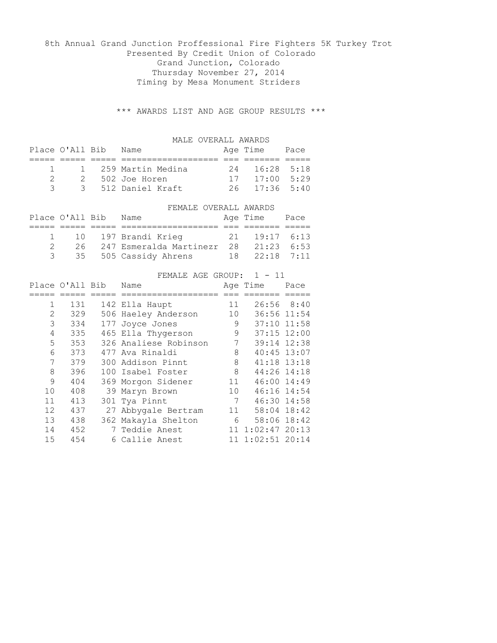## 8th Annual Grand Junction Proffessional Fire Fighters 5K Turkey Trot Presented By Credit Union of Colorado Grand Junction, Colorado Thursday November 27, 2014 Timing by Mesa Monument Striders

\*\*\* AWARDS LIST AND AGE GROUP RESULTS \*\*\*

|                |                 | MALE OVERALL AWARDS                      |    |                             |      |
|----------------|-----------------|------------------------------------------|----|-----------------------------|------|
|                | Place O'All Bib | Name                                     |    | Age Time Pace               |      |
|                |                 |                                          |    |                             |      |
| 1              | $\mathbf{1}$    | 259 Martin Medina                        | 24 | 16:28                       | 5:18 |
| $\overline{2}$ |                 | 2 502 Joe Horen                          |    | $17 \quad 17:00 \quad 5:29$ |      |
| 3              |                 | 3 512 Daniel Kraft                       | 26 | $17:36$ 5:40                |      |
|                |                 |                                          |    |                             |      |
|                |                 | FEMALE OVERALL AWARDS                    |    |                             |      |
|                |                 |                                          |    |                             |      |
|                | Place O'All Bib | Name                                     |    | Age Time Pace               |      |
|                |                 |                                          |    |                             |      |
| 1              | 10              | 197 Brandi Krieg                         | 21 | $19:17$ 6:13                |      |
| 2              |                 | 26 247 Esmeralda Martinezr 28 21:23 6:53 |    |                             |      |
| 3              |                 | 35 505 Cassidy Ahrens                    |    | 18  22:18  7:11             |      |
|                |                 |                                          |    |                             |      |
|                |                 | FEMALE AGE GROUP: 1 - 11                 |    |                             |      |

|                | Place O'All Bib |   | Name                  |                 | Age Time         | Pace |
|----------------|-----------------|---|-----------------------|-----------------|------------------|------|
|                |                 |   | -----------           |                 |                  |      |
| $\mathbf{1}$   | 131             |   | 142 Ella Haupt        | 11              | 26:56 8:40       |      |
| $\overline{2}$ | 329             |   | 506 Haeley Anderson   | 10              | 36:56 11:54      |      |
| 3              | 334             |   | 177 Joyce Jones       | 9               | 37:10 11:58      |      |
| 4              | 335             |   | 465 Ella Thygerson    | 9               | $37:15$ $12:00$  |      |
| 5              | 353             |   | 326 Analiese Robinson | 7               | 39:14 12:38      |      |
| 6              | 373             |   | 477 Ava Rinaldi       | 8               | 40:45 13:07      |      |
| 7              | 379             |   | 300 Addison Pinnt     | 8               | 41:18 13:18      |      |
| 8              | 396             |   | 100 Isabel Foster     | 8               | 44:26 14:18      |      |
| 9              | 404             |   | 369 Morgon Sidener    | 11              | $46:00$ 14:49    |      |
| 10             | 408             |   | 39 Maryn Brown        | 10 <sup>1</sup> | 46:16 14:54      |      |
| 11             | 413             |   | 301 Tya Pinnt         | 7               | 46:30 14:58      |      |
| 12             | 437             |   | 27 Abbygale Bertram   | 11              | 58:04 18:42      |      |
| 13             | 438             |   | 362 Makayla Shelton   | 6               | 58:06 18:42      |      |
| 14             | 452             | 7 | Teddie Anest          | 11              | $1:02:47$ 20:13  |      |
| 15             | 454             |   | 6 Callie Anest        |                 | 11 1:02:51 20:14 |      |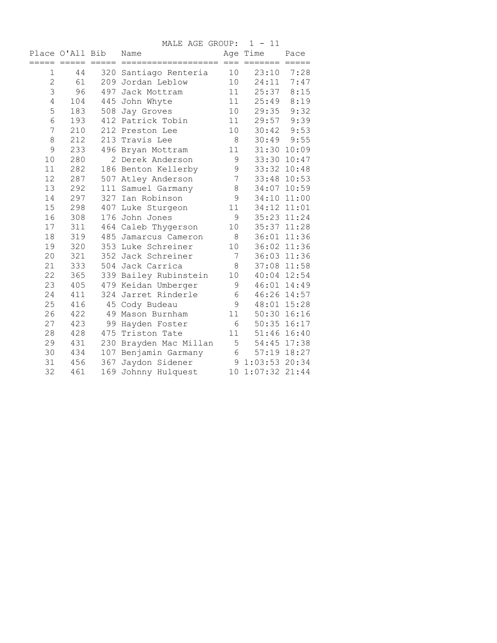MALE AGE GROUP: 1 - 11

|              | Place O'All Bib<br>===== ===== | $=$ $=$ $=$ $=$ $=$ | Name                   |                 | Age Time         | Pace<br>$=$ $=$ $=$ $=$ $=$ |
|--------------|--------------------------------|---------------------|------------------------|-----------------|------------------|-----------------------------|
| 1            | 44                             |                     | 320 Santiago Renteria  | 10              | 23:10            | 7:28                        |
| $\mathbf{2}$ | 61                             |                     | 209 Jordan Leblow      | 10              | 24:11            | 7:47                        |
| 3            | 96                             |                     | 497 Jack Mottram       | 11              | 25:37            | 8:15                        |
| 4            | 104                            | 445                 | John Whyte             | 11              | 25:49            | 8:19                        |
| 5            | 183                            |                     | 508 Jay Groves         | 10              | 29:35            | 9:32                        |
| $\sqrt{6}$   | 193                            |                     | 412 Patrick Tobin      | 11              | 29:57            | 9:39                        |
| 7            | 210                            |                     | 212 Preston Lee        | 10              | 30:42            | 9:53                        |
| 8            | 212                            |                     | 213 Travis Lee         | 8               | 30:49            | 9:55                        |
| 9            | 233                            |                     | 496 Bryan Mottram      | 11              |                  | 31:30 10:09                 |
| 10           | 280                            |                     | 2 Derek Anderson       | 9               | 33:30            | 10:47                       |
| 11           | 282                            |                     | 186 Benton Kellerby    | 9               |                  | 33:32 10:48                 |
| 12           | 287                            |                     | 507 Atley Anderson     | $7\phantom{.0}$ |                  | 33:48 10:53                 |
| 13           | 292                            |                     | 111 Samuel Garmany     | 8               |                  | 34:07 10:59                 |
| 14           | 297                            |                     | 327 Ian Robinson       | 9               | 34:10            | 11:00                       |
| 15           | 298                            |                     | 407 Luke Sturgeon      | 11              |                  | 34:12 11:01                 |
| 16           | 308                            |                     | 176 John Jones         | 9               |                  | 35:23 11:24                 |
| 17           | 311                            |                     | 464 Caleb Thygerson    | 10              |                  | 35:37 11:28                 |
| 18           | 319                            |                     | 485 Jamarcus Cameron   | 8               |                  | 36:01 11:36                 |
| 19           | 320                            |                     | 353 Luke Schreiner     | 10              |                  | 36:02 11:36                 |
| 20           | 321                            |                     | 352 Jack Schreiner     | 7               |                  | 36:03 11:36                 |
| 21           | 333                            |                     | 504 Jack Carrica       | 8               |                  | 37:08 11:58                 |
| 22           | 365                            |                     | 339 Bailey Rubinstein  | 10              |                  | 40:04 12:54                 |
| 23           | 405                            |                     | 479 Keidan Umberger    | 9               |                  | 46:01 14:49                 |
| 24           | 411                            |                     | 324 Jarret Rinderle    | $6\,$           |                  | 46:26 14:57                 |
| 25           | 416                            | 45                  | Cody Budeau            | 9               | 48:01            | 15:28                       |
| 26           | 422                            |                     | 49 Mason Burnham       | 11              |                  | 50:30 16:16                 |
| 27           | 423                            |                     | 99 Hayden Foster       | 6               |                  | $50:35$ $16:17$             |
| 28           | 428                            | 475                 | Triston Tate           | 11              |                  | 51:46 16:40                 |
| 29           | 431                            |                     | 230 Brayden Mac Millan |                 | $5 -$            | 54:45 17:38                 |
| 30           | 434                            |                     | 107 Benjamin Garmany   |                 | $6\degree$       | 57:19 18:27                 |
| 31           | 456                            |                     | 367 Jaydon Sidener     |                 | 9 1:03:53 20:34  |                             |
| 32           | 461                            |                     | 169 Johnny Hulquest    |                 | 10 1:07:32 21:44 |                             |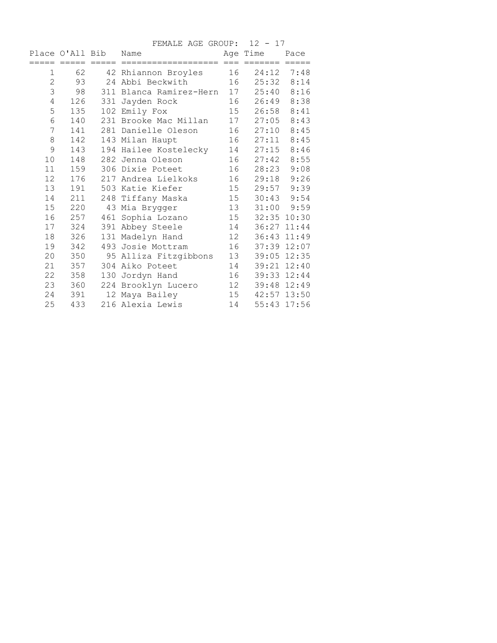|                |     |                 | FEMALE AGE GROUP: 12 - 17 |    |               |                |
|----------------|-----|-----------------|---------------------------|----|---------------|----------------|
|                |     | Place O'All Bib | Name                      |    | Age Time      | Pace           |
|                |     |                 |                           |    | === =======   |                |
| 1              | 62  |                 | 42 Rhiannon Broyles       | 16 | 24:12         | 7:48           |
| $\overline{c}$ | 93  |                 | 24 Abbi Beckwith          |    | 16 25:32 8:14 |                |
| 3              | 98  |                 | 311 Blanca Ramirez-Hern   | 17 | 25:40         | 8:16           |
| 4              | 126 |                 | 331 Jayden Rock           | 16 | 26:49         | 8:38           |
| 5              | 135 |                 | 102 Emily Fox             |    | 15 26:58      | 8:41           |
| $\sqrt{6}$     | 140 |                 | 231 Brooke Mac Millan     | 17 | 27:05         | 8:43           |
| 7              | 141 |                 | 281 Danielle Oleson       | 16 | 27:10         | 8:45           |
| $\,8\,$        | 142 |                 | 143 Milan Haupt           | 16 | 27:11         | 8:45           |
| 9              | 143 |                 | 194 Hailee Kostelecky     | 14 | 27:15         | 8:46           |
| 10             | 148 |                 | 282 Jenna Oleson          | 16 | 27:42         | 8:55           |
| 11             | 159 |                 | 306 Dixie Poteet          | 16 | 28:23         | 9:08           |
| 12             | 176 |                 | 217 Andrea Lielkoks       | 16 | 29:18         | 9:26           |
| 13             | 191 |                 | 503 Katie Kiefer          | 15 | 29:57         | 9:39           |
| 14             | 211 |                 | 248 Tiffany Maska         | 15 |               | $30:43$ $9:54$ |
| 15             | 220 |                 | 43 Mia Brygger            | 13 |               | $31:00$ $9:59$ |
| 16             | 257 |                 | 461 Sophia Lozano         | 15 |               | 32:35 10:30    |
| 17             | 324 |                 | 391 Abbey Steele          | 14 | 36:27 11:44   |                |
| 18             | 326 |                 | 131 Madelyn Hand          | 12 |               | 36:43 11:49    |
| 19             | 342 |                 | 493 Josie Mottram         | 16 |               | 37:39 12:07    |
| 20             | 350 |                 | 95 Alliza Fitzgibbons     | 13 |               | 39:05 12:35    |
| 21             | 357 |                 | 304 Aiko Poteet           | 14 |               | 39:21 12:40    |
| 22             | 358 |                 | 130 Jordyn Hand           | 16 |               | 39:33 12:44    |
| 23             | 360 |                 | 224 Brooklyn Lucero       | 12 |               | 39:48 12:49    |
| 24             | 391 |                 | 12 Maya Bailey            | 15 |               | 42:57 13:50    |
| 25             | 433 |                 | 216 Alexia Lewis          | 14 |               | 55:43 17:56    |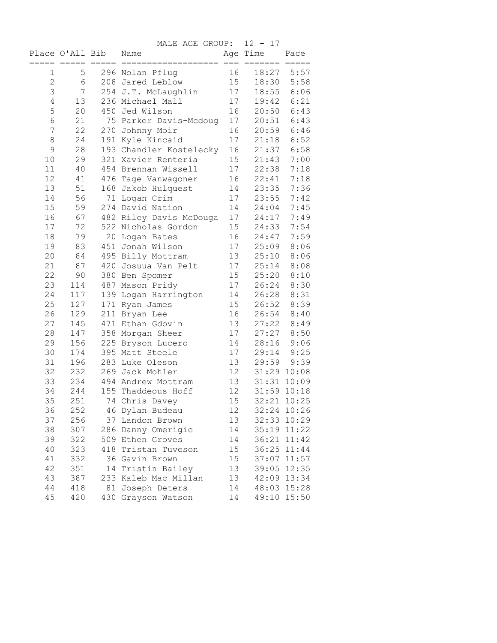|                |                 |                     | MALE AGE GROUP:                          | $12 - 17$ |                      |                 |
|----------------|-----------------|---------------------|------------------------------------------|-----------|----------------------|-----------------|
|                | Place O'All Bib |                     | Name                                     |           | Age Time             | Pace            |
| 1              | $=====$<br>5    | $=$ $=$ $=$ $=$ $=$ | $======$<br>296 Nolan Pflug              | $=$<br>16 | $=$ $=$ $=$<br>18:27 | $=====$<br>5:57 |
| $\overline{c}$ | 6               |                     | 208 Jared Leblow                         | 15        | 18:30                | 5:58            |
| 3              | 7               |                     | 254 J.T. McLaughlin                      | 17        | 18:55                | 6:06            |
| $\overline{4}$ | 13              |                     | 236 Michael Mall                         | 17        | 19:42                | 6:21            |
| 5              | 20              |                     | 450 Jed Wilson                           | 16        | 20:50                | 6:43            |
| 6              | 21              |                     | 75 Parker Davis-Mcdoug                   | 17        | 20:51                | 6:43            |
| 7              | 22              |                     | 270 Johnny Moir                          | 16        | 20:59                | 6:46            |
| $\,8\,$        | 24              |                     | 191 Kyle Kincaid                         | 17        | 21:18                | 6:52            |
| 9              | 28              |                     | 193 Chandler Kostelecky                  | 16        | 21:37                | 6:58            |
| 10             | 29              |                     | 321 Xavier Renteria                      | 15        | 21:43                | 7:00            |
| 11             | 40              |                     | 454 Brennan Wissell                      | 17        | 22:38                | 7:18            |
| 12             | 41              |                     | 476 Tage Vanwagoner                      | 16        | 22:41                | 7:18            |
| 13             | 51              |                     | 168 Jakob Hulquest                       | 14        | 23:35                | 7:36            |
| 14             | 56              |                     | 71 Logan Crim                            | 17        | 23:55                | 7:42            |
| 15             | 59              |                     | 274 David Nation                         | 14        | 24:04                | 7:45            |
| 16             | 67              |                     | 482 Riley Davis McDouga                  | 17        | 24:17                | 7:49            |
| 17             | 72              |                     | 522 Nicholas Gordon                      | 15        | 24:33                | 7:54            |
| 18             | 79              |                     | 20 Logan Bates                           | 16        | 24:47                | 7:59            |
| 19             | 83              |                     | 451 Jonah Wilson                         | 17        | 25:09                | 8:06            |
| 20             | 84              |                     |                                          |           | 25:10                |                 |
| 21             | 87              |                     | 495 Billy Mottram<br>420 Josuua Van Pelt | 13        |                      | 8:06<br>8:08    |
| 22             | 90              |                     |                                          | 17<br>15  | 25:14                |                 |
| 23             |                 |                     | 380 Ben Spomer                           |           | 25:20                | 8:10            |
| 24             | 114             |                     | 487 Mason Pridy                          | 17        | 26:24                | 8:30            |
| 25             | 117             |                     | 139 Logan Harrington                     | 14<br>15  | 26:28                | 8:31            |
|                | 127             |                     | 171 Ryan James                           |           | 26:52                | 8:39            |
| 26             | 129             |                     | 211 Bryan Lee                            | 16        | 26:54                | 8:40            |
| 27             | 145             |                     | 471 Ethan Gdovin                         | 13        | 27:22                | 8:49            |
| 28             | 147             |                     | 358 Morgan Sheer                         | 17        | 27:27                | 8:50            |
| 29             | 156             |                     | 225 Bryson Lucero                        | 14        | 28:16                | 9:06            |
| 30             | 174             |                     | 395 Matt Steele                          | 17        |                      | 29:14 9:25      |
| 31             | 196             |                     | 283 Luke Oleson                          | 13        | 29:59                | 9:39            |
| 32             | 232             |                     | 269 Jack Mohler                          | 12        |                      | 31:29 10:08     |
| 33             | 234             |                     | 494 Andrew Mottram                       | 13        |                      | 31:31 10:09     |
| 34             | 244             |                     | 155 Thaddeous Hoff                       | 12        |                      | 31:59 10:18     |
| 35             | 251             |                     | 74 Chris Davey                           | 15        | 32:21                | 10:25           |
| 36             | 252             |                     | 46 Dylan Budeau                          | 12        |                      | 32:24 10:26     |
| 37             | 256             |                     | 37 Landon Brown                          | 13        |                      | 32:33 10:29     |
| 38             | 307             |                     | 286 Danny Omerigic                       | 14        | 35:19 11:22          |                 |
| 39             | 322             |                     | 509 Ethen Groves                         | 14        |                      | 36:21 11:42     |
| 40             | 323             |                     | 418 Tristan Tuveson                      | 15        |                      | 36:25 11:44     |
| 41             | 332             |                     | 36 Gavin Brown                           | 15        | 37:07 11:57          |                 |
| 42             | 351             | 14                  | Tristin Bailey                           | 13        | 39:05 12:35          |                 |
| 43             | 387             |                     | 233 Kaleb Mac Millan                     | 13        |                      | 42:09 13:34     |
| 44             | 418             |                     | 81 Joseph Deters                         | 14        |                      | 48:03 15:28     |
| 45             | 420             |                     | 430 Grayson Watson                       | 14        | 49:10 15:50          |                 |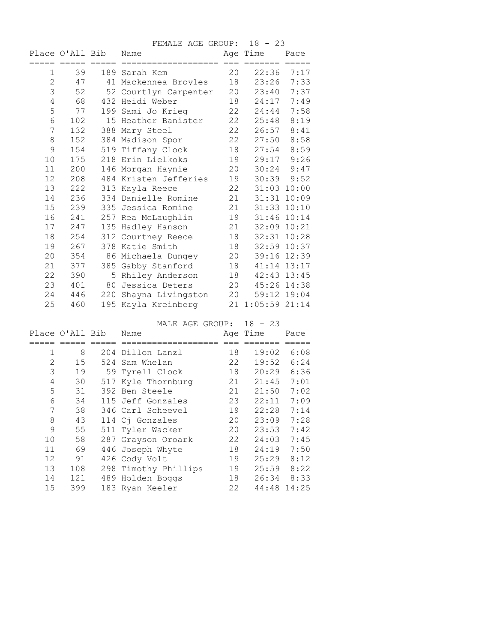|                |                 |         | FEMALE AGE GROUP:     |    | $18 - 23$       |                 |
|----------------|-----------------|---------|-----------------------|----|-----------------|-----------------|
|                | Place O'All Bib |         | Name                  |    | Age Time        | Pace            |
|                | =====           | $=====$ |                       |    |                 |                 |
| 1              | 39              |         | 189 Sarah Kem         | 20 | 22:36           | 7:17            |
| $\overline{2}$ | 47              |         | 41 Mackennea Broyles  | 18 | 23:26           | 7:33            |
| 3              | 52              |         | 52 Courtlyn Carpenter | 20 | 23:40           | 7:37            |
| 4              | 68              |         | 432 Heidi Weber       | 18 | 24:17           | 7:49            |
| 5              | 77              |         | 199 Sami Jo Krieg     | 22 | 24:44           | 7:58            |
| $\sqrt{6}$     | 102             |         | 15 Heather Banister   | 22 | 25:48           | 8:19            |
| 7              | 132             |         | 388 Mary Steel        | 22 | 26:57           | 8:41            |
| 8              | 152             |         | 384 Madison Spor      | 22 | 27:50           | 8:58            |
| 9              | 154             |         | 519 Tiffany Clock     | 18 | 27:54           | 8:59            |
| 10             | 175             |         | 218 Erin Lielkoks     | 19 | 29:17           | 9:26            |
| 11             | 200             |         | 146 Morgan Haynie     | 20 | 30:24           | 9:47            |
| 12             | 208             |         | 484 Kristen Jefferies | 19 |                 | $30:39$ $9:52$  |
| 13             | 222             |         | 313 Kayla Reece       | 22 |                 | 31:03 10:00     |
| 14             | 236             |         | 334 Danielle Romine   | 21 | 31:31           | 10:09           |
| 15             | 239             |         | 335 Jessica Romine    | 21 |                 | 31:33 10:10     |
| 16             | 241             |         | 257 Rea McLaughlin    | 19 |                 | 31:46 10:14     |
| 17             | 247             |         | 135 Hadley Hanson     | 21 | 32:09 10:21     |                 |
| 18             | 254             |         | 312 Courtney Reece    | 18 |                 | $32:31$ $10:28$ |
| 19             | 267             |         | 378 Katie Smith       | 18 |                 | 32:59 10:37     |
| 20             | 354             |         | 86 Michaela Dungey    | 20 |                 | 39:16 12:39     |
| 21             | 377             |         | 385 Gabby Stanford    | 18 |                 | 41:14 13:17     |
| 22             | 390             |         | 5 Rhiley Anderson     | 18 |                 | 42:43 13:45     |
| 23             | 401             |         | 80 Jessica Deters     | 20 |                 | 45:26 14:38     |
| 24             | 446             |         | 220 Shayna Livingston | 20 |                 | 59:12 19:04     |
| 25             | 460             |         | 195 Kayla Kreinberg   | 21 | $1:05:59$ 21:14 |                 |

MALE AGE GROUP: 18 - 23 Place O'All Bib Name Age Time Pace ===== ===== ===== =================== === ======= ===== 1 8 204 Dillon Lanzl 18 19:02 6:08<br>2 15 524 Sam Whelan 22 19:52 6:24 2 15 524 Sam Whelan 22 19:52 6:24 3 19 59 Tyrell Clock 18 20:29 6:36 4 30 517 Kyle Thornburg 21 21:45 7:01 5 31 392 Ben Steele 21 21:50 7:02 6 34 115 Jeff Gonzales 23 22:11 7:09 7 38 346 Carl Scheevel 19 22:28 7:14 8 43 114 Cj Gonzales 20 23:09 7:28 9 55 511 Tyler Wacker 20 23:53 7:42 10 58 287 Grayson Oroark 22 24:03 7:45 11 69 446 Joseph Whyte 18 24:19 7:50 12 91 426 Cody Volt 19 25:29 8:12 13 108 298 Timothy Phillips 19 25:59 8:22 14 121 489 Holden Boggs 18 26:34 8:33 15 399 183 Ryan Keeler 22 44:48 14:25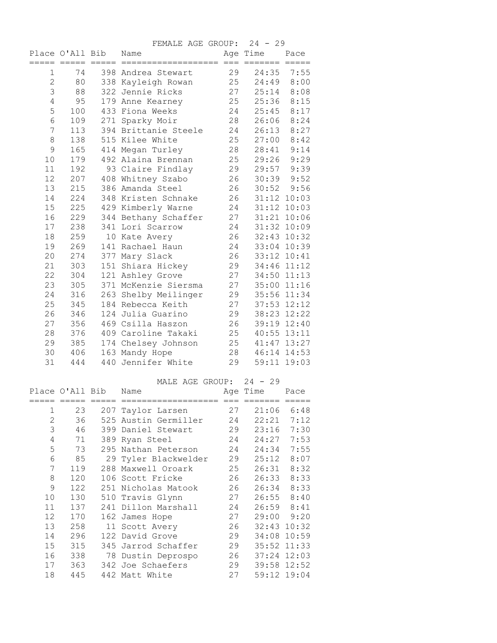FEMALE AGE GROUP: 24 - 29

|                | Place O'All Bib |    | Name                 |    | Age Time | Pace        |
|----------------|-----------------|----|----------------------|----|----------|-------------|
|                |                 |    |                      |    |          |             |
| 1              | 74              |    | 398 Andrea Stewart   | 29 | 24:35    | 7:55        |
| $\overline{2}$ | 80              |    | 338 Kayleigh Rowan   | 25 | 24:49    | 8:00        |
| 3              | 88              |    | 322 Jennie Ricks     | 27 | 25:14    | 8:08        |
| $\overline{4}$ | 95              |    | 179 Anne Kearney     | 25 | 25:36    | 8:15        |
| 5              | 100             |    | 433 Fiona Weeks      | 24 | 25:45    | 8:17        |
| $\sqrt{6}$     | 109             |    | 271 Sparky Moir      | 28 | 26:06    | 8:24        |
| 7              | 113             |    | 394 Brittanie Steele | 24 | 26:13    | 8:27        |
| 8              | 138             |    | 515 Kilee White      | 25 | 27:00    | 8:42        |
| 9              | 165             |    | 414 Megan Turley     | 28 | 28:41    | 9:14        |
| 10             | 179             |    | 492 Alaina Brennan   | 25 | 29:26    | 9:29        |
| 11             | 192             |    | 93 Claire Findlay    | 29 | 29:57    | 9:39        |
| 12             | 207             |    | 408 Whitney Szabo    | 26 | 30:39    | 9:52        |
| 13             | 215             |    | 386 Amanda Steel     | 26 | 30:52    | 9:56        |
| 14             | 224             |    | 348 Kristen Schnake  | 26 |          | 31:12 10:03 |
| 15             | 225             |    | 429 Kimberly Warne   | 24 |          | 31:12 10:03 |
| 16             | 229             |    | 344 Bethany Schaffer | 27 |          | 31:21 10:06 |
| 17             | 238             |    | 341 Lori Scarrow     | 24 |          | 31:32 10:09 |
| 18             | 259             | 10 | Kate Avery           | 26 | 32:43    | 10:32       |
| 19             | 269             |    | 141 Rachael Haun     | 24 |          | 33:04 10:39 |
| 20             | 274             |    | 377 Mary Slack       | 26 |          | 33:12 10:41 |
| 21             | 303             |    | 151 Shiara Hickey    | 29 |          | 34:46 11:12 |
| 22             | 304             |    | 121 Ashley Grove     | 27 |          | 34:50 11:13 |
| 23             | 305             |    | 371 McKenzie Siersma | 27 |          | 35:00 11:16 |
| 24             | 316             |    | 263 Shelby Meilinger | 29 |          | 35:56 11:34 |
| 25             | 345             |    | 184 Rebecca Keith    | 27 | 37:53    | 12:12       |
| 26             | 346             |    | 124 Julia Guarino    | 29 |          | 38:23 12:22 |
| 27             | 356             |    | 469 Csilla Haszon    | 26 |          | 39:19 12:40 |
| 28             | 376             |    | 409 Caroline Takaki  | 25 |          | 40:55 13:11 |
| 29             | 385             |    | 174 Chelsey Johnson  | 25 |          | 41:47 13:27 |
| 30             | 406             |    | 163 Mandy Hope       | 28 |          | 46:14 14:53 |
| 31             | 444             |    | 440 Jennifer White   | 29 | 59:11    | 19:03       |

## MALE AGE GROUP: 24 - 29

|                | Place O'All Bib |     | Name                 |    | Age Time    | Pace            |
|----------------|-----------------|-----|----------------------|----|-------------|-----------------|
|                |                 |     |                      |    |             |                 |
| $\mathbf{1}$   | 23              |     | 207 Taylor Larsen    | 27 | 21:06       | 6:48            |
| $\overline{2}$ | 36              |     | 525 Austin Germiller | 24 | 22:21       | 7:12            |
| 3              | 46              | 399 | Daniel Stewart       | 29 | 23:16       | 7:30            |
| 4              | 71              | 389 | Ryan Steel           | 24 | 24:27       | 7:53            |
| 5              | 73              | 295 | Nathan Peterson      | 24 | 24:34       | 7:55            |
| 6              | 85              |     | 29 Tyler Blackwelder | 29 | 25:12       | 8:07            |
| 7              | 119             |     | 288 Maxwell Oroark   | 25 | 26:31       | 8:32            |
| 8              | 120             |     | 106 Scott Fricke     | 26 | 26:33       | 8:33            |
| 9              | 122             | 251 | Nicholas Matook      | 26 | 26:34       | 8:33            |
| 10             | 130             |     | 510 Travis Glynn     | 27 | 26:55       | 8:40            |
| 11             | 137             | 241 | Dillon Marshall      | 24 | 26:59       | 8:41            |
| 12             | 170             |     | 162 James Hope       | 27 | 29:00       | 9:20            |
| 13             | 258             |     | 11 Scott Avery       | 26 |             | $32:43$ $10:32$ |
| 14             | 296             | 122 | David Grove          | 29 | 34:08 10:59 |                 |
| 15             | 315             | 345 | Jarrod Schaffer      | 29 | 35:52       | 11:33           |
| 16             | 338             | 78  | Dustin Deprospo      | 26 |             | 37:24 12:03     |
| 17             | 363             |     | 342 Joe Schaefers    | 29 | 39:58       | 12:52           |
| 18             | 445             |     | 442 Matt White       | 27 |             | 59:12 19:04     |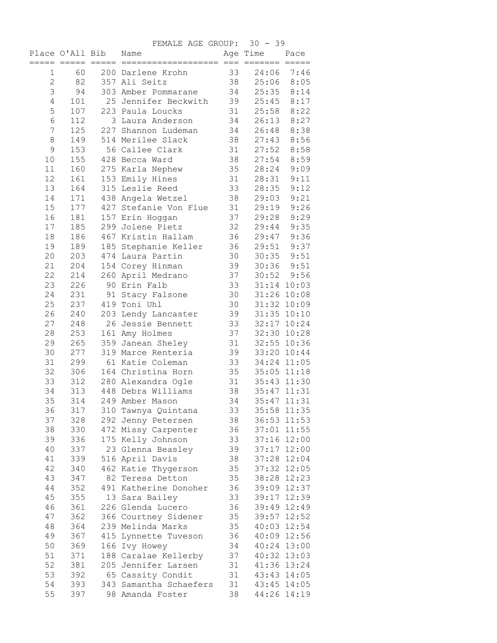|                |                 |                     | FEMALE AGE GROUP:      |     | $30 - 39$       |                |
|----------------|-----------------|---------------------|------------------------|-----|-----------------|----------------|
|                | Place O'All Bib |                     | Name                   |     | Age Time        | Pace           |
|                |                 | $=$ $=$ $=$ $=$ $=$ |                        | $=$ |                 |                |
| 1              | 60              |                     | 200 Darlene Krohn      | 33  | 24:06 7:46      |                |
| $\overline{2}$ | 82              |                     | 357 Ali Seitz          | 38  | 25:06           | 8:05           |
| 3              | 94              |                     | 303 Amber Pommarane    | 34  | 25:35           | 8:14           |
| $\overline{4}$ | 101             |                     | 25 Jennifer Beckwith   | 39  | 25:45           | 8:17           |
| 5              | 107             |                     | 223 Paula Loucks       | 31  | 25:58           | 8:22           |
| 6              | 112             |                     | 3 Laura Anderson       | 34  | 26:13           | 8:27           |
| 7              | 125             |                     | 227 Shannon Ludeman    | 34  | 26:48           | 8:38           |
| 8              | 149             |                     | 514 Merilee Slack      | 38  | 27:43           | 8:56           |
| 9              | 153             |                     | 56 Callee Clark        | 31  | 27:52           | 8:58           |
| 10             | 155             |                     | 428 Becca Ward         | 38  | 27:54           | 8:59           |
| 11             | 160             |                     | 275 Karla Nephew       | 35  | 28:24           | 9:09           |
| 12             | 161             |                     | 153 Emily Hines        | 31  | 28:31           | 9:11           |
| 13             | 164             |                     | 315 Leslie Reed        | 33  | 28:35           | 9:12           |
| 14             | 171             |                     | 438 Angela Wetzel      | 38  | 29:03           | 9:21           |
| 15             | 177             |                     | 427 Stefanie Von Flue  | 31  | 29:19           | 9:26           |
| 16             | 181             |                     | 157 Erin Hoggan        | 37  | 29:28           | 9:29           |
| 17             | 185             |                     | 299 Jolene Pietz       | 32  | 29:44           | 9:35           |
| 18             | 186             |                     | 467 Kristin Hallam     | 36  | 29:47           | 9:36           |
| 19             | 189             |                     | 185 Stephanie Keller   | 36  | 29:51           | 9:37           |
| 20             | 203             |                     | 474 Laura Partin       | 30  | 30:35           | 9:51           |
| 21             | 204             |                     | 154 Corey Hinman       | 39  | $30:36$ $9:51$  |                |
| 22             | 214             |                     | 260 April Medrano      | 37  |                 | $30:52$ $9:56$ |
| 23             | 226             |                     | 90 Erin Falb           | 33  |                 | 31:14 10:03    |
| 24             | 231             |                     | 91 Stacy Falsone       | 30  |                 | 31:26 10:08    |
| 25             | 237             |                     | 419 Toni Uhl           | 30  |                 | 31:32 10:09    |
| 26             | 240             |                     | 203 Lendy Lancaster    | 39  | 31:35 10:10     |                |
| 27             | 248             |                     | 26 Jessie Bennett      | 33  | 32:17 10:24     |                |
| 28             | 253             |                     | 161 Amy Holmes         | 37  |                 | 32:30 10:28    |
| 29             | 265             |                     | 359 Janean Sheley      | 31  |                 | 32:55 10:36    |
| 30             | 277             |                     | 319 Marce Renteria     | 39  | 33:20 10:44     |                |
| 31             | 299             |                     | 61 Katie Coleman       | 33  | 34:24 11:05     |                |
| 32             | 306             |                     | 164 Christina Horn     | 35  | $35:05$ $11:18$ |                |
| 33             | 312             |                     | 280 Alexandra Ogle     | 31  | 35:43 11:30     |                |
| 34             | 313             |                     | 448 Debra Williams     | 38  | 35:47 11:31     |                |
| 35             | 314             |                     | 249 Amber Mason        | 34  | 35:47           | 11:31          |
| 36             | 317             |                     | 310 Tawnya Quintana    | 33  | 35:58 11:35     |                |
| 37             | 328             |                     | 292 Jenny Petersen     | 38  |                 | 36:53 11:53    |
| 38             | 330             |                     | 472 Missy Carpenter    | 36  | 37:01 11:55     |                |
| 39             | 336             |                     | 175 Kelly Johnson      | 33  | 37:16 12:00     |                |
| 40             | 337             |                     | 23 Glenna Beasley      | 39  | 37:17 12:00     |                |
| 41             | 339             |                     | 516 April Davis        | 38  | 37:28 12:04     |                |
| 42             | 340             |                     | 462 Katie Thygerson    | 35  | 37:32 12:05     |                |
| 43             | 347             |                     | 82 Teresa Detton       | 35  | 38:28 12:23     |                |
| 44             | 352             |                     | 491 Katherine Donoher  | 36  |                 | 39:09 12:37    |
| 45             | 355             |                     | 13 Sara Bailey         | 33  | 39:17 12:39     |                |
| 46             | 361             |                     | 226 Glenda Lucero      | 36  |                 | 39:49 12:49    |
| 47             | 362             |                     | 366 Courtney Sidener   | 35  |                 | 39:57 12:52    |
| 48             | 364             |                     | 239 Melinda Marks      | 35  |                 | 40:03 12:54    |
| 49             | 367             |                     | 415 Lynnette Tuveson   | 36  | 40:09 12:56     |                |
| 50             | 369             |                     | 166 Ivy Howey          | 34  | 40:24 13:00     |                |
| 51             | 371             |                     | 188 Caralae Kellerby   | 37  |                 | 40:32 13:03    |
| 52             | 381             |                     | 205 Jennifer Larsen    | 31  | 41:36 13:24     |                |
| 53             | 392             |                     | 65 Cassity Condit      | 31  | 43:43 14:05     |                |
| 54             | 393             |                     | 343 Samantha Schaefers | 31  | 43:45 14:05     |                |
| 55             | 397             |                     | 98 Amanda Foster       | 38  | 44:26 14:19     |                |
|                |                 |                     |                        |     |                 |                |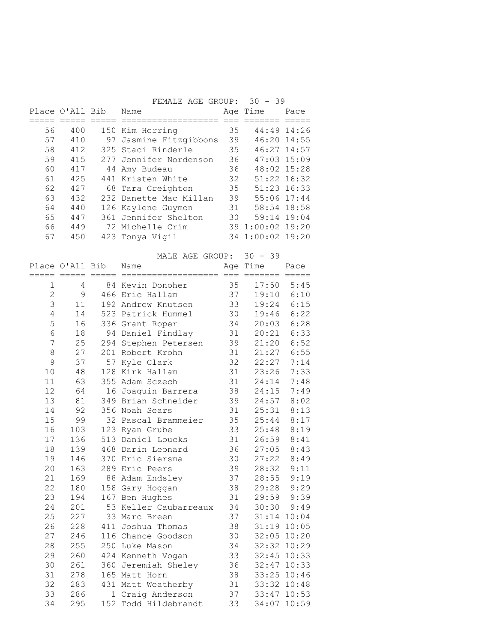|                |                 | FEMALE AGE GROUP: 30 - 39 |               |                  |      |
|----------------|-----------------|---------------------------|---------------|------------------|------|
|                | Place O'All Bib | Name                      |               | Age Time         | Pace |
|                |                 |                           |               |                  |      |
| 56             | 400             | 150 Kim Herring           | 35            | 44:49 14:26      |      |
| 57             | 410             | 97 Jasmine Fitzgibbons    | 39            | 46:20 14:55      |      |
| 58             | 412             | 325 Staci Rinderle        | 35            | 46:27 14:57      |      |
| 59             | 415             | 277 Jennifer Nordenson    | 36            | 47:03 15:09      |      |
| 60             | 417             | 44 Amy Budeau             | 36            | 48:02 15:28      |      |
| 61             | 425             | 441 Kristen White         | 32            | 51:22 16:32      |      |
| 62             | 427             | 68 Tara Creighton         | 35            | 51:23 16:33      |      |
| 63             | 432             | 232 Danette Mac Millan    | 39            | 55:06 17:44      |      |
| 64             | 440             | 126 Kaylene Guymon        | 31            | 58:54 18:58      |      |
| 65             | 447             | 361 Jennifer Shelton      | 30            | 59:14 19:04      |      |
| 66             | 449             | 72 Michelle Crim          |               | 39 1:00:02 19:20 |      |
| 67             | 450             | 423 Tonya Vigil           |               | 34 1:00:02 19:20 |      |
|                |                 |                           |               |                  |      |
|                |                 | MALE AGE GROUP:           |               | $30 - 39$        |      |
|                | Place O'All Bib | Name                      |               | Age Time         | Pace |
|                |                 |                           |               |                  |      |
| $\mathbf{1}$   | 4               | 84 Kevin Donoher          | 35            | $17:50$ 5:45     |      |
| $\overline{2}$ | 9               | 466 Eric Hallam           | 37            | 19:10            | 6:10 |
| 3              | 11              | 192 Andrew Knutsen        | 33            | 19:24            | 6:15 |
| $\sqrt{ }$     | 1 <sub>1</sub>  |                           | $\cap$ $\cap$ | 10.10 C.00       |      |

| 1              | 4            | 84 Kevin Donoher      | 35 | 17:50       | 5:45           |
|----------------|--------------|-----------------------|----|-------------|----------------|
| $\overline{c}$ | $\mathsf{S}$ | 466 Eric Hallam       | 37 | 19:10       | 6:10           |
| 3              | 11           | 192 Andrew Knutsen    | 33 | 19:24       | 6:15           |
| $\overline{4}$ | 14           | 523 Patrick Hummel    | 30 | 19:46       | 6:22           |
| 5              | 16           | 336 Grant Roper       | 34 | 20:03       | 6:28           |
| 6              | 18           | 94 Daniel Findlay     | 31 | 20:21       | 6:33           |
| 7              | 25           | 294 Stephen Petersen  | 39 | 21:20       | 6:52           |
| 8              | 27           | 201 Robert Krohn      | 31 | 21:27       | 6:55           |
| 9              | 37           | 57 Kyle Clark         | 32 | 22:27       | 7:14           |
| 10             | 48           | 128 Kirk Hallam       | 31 | 23:26       | 7:33           |
| 11             | 63           | 355 Adam Sczech       | 31 | 24:14       | 7:48           |
| 12             | 64           | 16 Joaquin Barrera    | 38 | 24:15       | 7:49           |
| 13             | 81           | 349 Brian Schneider   | 39 | 24:57       | 8:02           |
| 14             | 92           | 356 Noah Sears        | 31 | 25:31       | 8:13           |
| 15             | 99           | 32 Pascal Brammeier   | 35 | 25:44       | 8:17           |
| 16             | 103          | 123 Ryan Grube        | 33 | 25:48       | 8:19           |
| 17             | 136          | 513 Daniel Loucks     | 31 | 26:59       | 8:41           |
| 18             | 139          | 468 Darin Leonard     | 36 | 27:05       | 8:43           |
| 19             | 146          | 370 Eric Siersma      | 30 | 27:22       | 8:49           |
| 20             | 163          | 289 Eric Peers        | 39 | 28:32       | 9:11           |
| 21             | 169          | 88 Adam Endsley       | 37 | 28:55       | 9:19           |
| 22             | 180          | 158 Gary Hoggan       | 38 | 29:28       | 9:29           |
| 23             | 194          | 167 Ben Hughes        | 31 | 29:59       | 9:39           |
| 24             | 201          | 53 Keller Caubarreaux | 34 |             | $30:30$ $9:49$ |
| 25             | 227          | 33 Marc Breen         | 37 |             | 31:14 10:04    |
| 26             | 228          | 411 Joshua Thomas     | 38 |             | 31:19 10:05    |
| 27             | 246          | 116 Chance Goodson    | 30 |             | 32:05 10:20    |
| 28             | 255          | 250 Luke Mason        | 34 | 32:32 10:29 |                |
| 29             | 260          | 424 Kenneth Vogan     | 33 |             | 32:45 10:33    |
| 30             | 261          | 360 Jeremiah Sheley   | 36 |             | 32:47 10:33    |
| 31             | 278          | 165 Matt Horn         | 38 |             | 33:25 10:46    |
| 32             | 283          | 431 Matt Weatherby    | 31 |             | 33:32 10:48    |
| 33             | 286          | 1 Craig Anderson      | 37 |             | 33:47 10:53    |
| 34             | 295          | 152 Todd Hildebrandt  | 33 |             | 34:07 10:59    |
|                |              |                       |    |             |                |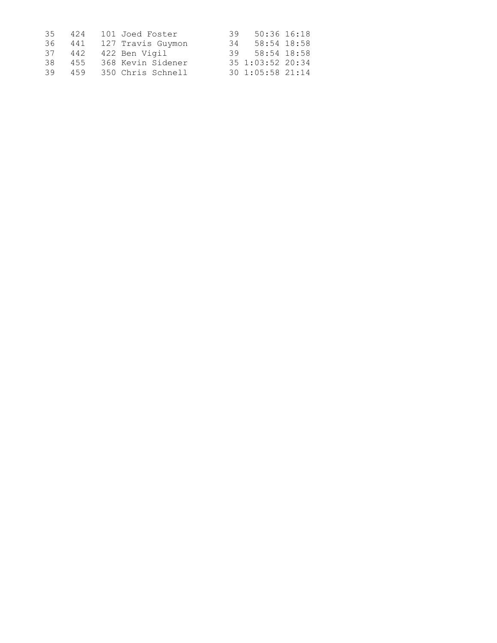| 35   | 424 | 101 Joed Foster   | 39 50:36 16:18    |
|------|-----|-------------------|-------------------|
| 36 - | 441 | 127 Travis Guymon | 58:54 18:58<br>34 |
| 37   | 442 | 422 Ben Vigil     | 39 58:54 18:58    |
| 38.  | 455 | 368 Kevin Sidener | 35 1:03:52 20:34  |
| 39   | 459 | 350 Chris Schnell | 30 1:05:58 21:14  |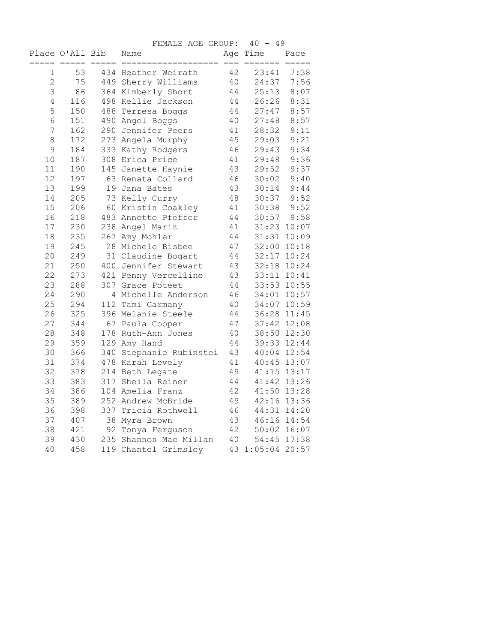FEMALE AGE GROUP: 40 - 49 Place O'All Bib Name **Age Time** Pace ===== ===== ===== =================== === ======= ===== 1 53 434 Heather Weirath 42 23:41 7:38 2 75 449 Sherry Williams 40 24:37 7:56 3 86 364 Kimberly Short 44 25:13 8:07 4 116 498 Kellie Jackson 44 26:26 8:31 5 150 488 Terresa Boggs 44 27:47 8:57 6 151 490 Angel Boggs 40 27:48 8:57 7 162 290 Jennifer Peers 41 28:32 9:11 8 172 273 Angela Murphy 45 29:03 9:21 9 184 333 Kathy Rodgers 46 29:43 9:34 10 187 308 Erica Price 41 29:48 9:36 11 190 145 Janette Haynie 43 29:52 9:37 12 197 63 Renata Collard 46 30:02 9:40 13 199 19 Jana Bates 43 30:14 9:44 14 205 73 Kelly Curry 48 30:37 9:52 15 206 60 Kristin Coakley 41 30:38 9:52 16 218 483 Annette Pfeffer 44 30:57 9:58 17 230 238 Angel Mariz 41 31:23 10:07 18 235 267 Amy Mohler 44 31:31 10:09 19 245 28 Michele Bisbee 47 32:00 10:18 20 249 31 Claudine Bogart 44 32:17 10:24 21 250 400 Jennifer Stewart 43 32:18 10:24 22 273 421 Penny Vercelline 43 33:11 10:41 23 288 307 Grace Poteet 44 33:53 10:55 24 290 4 Michelle Anderson 46 34:01 10:57 25 294 112 Tami Garmany 40 34:07 10:59 26 325 396 Melanie Steele 44 36:28 11:45 27 344 67 Paula Cooper 47 37:42 12:08 28 348 178 Ruth-Ann Jones 40 38:50 12:30 29 359 129 Amy Hand 44 39:33 12:44 30 366 340 Stephanie Rubinstei 43 40:04 12:54 31 374 478 Karah Levely 41 40:45 13:07 32 378 214 Beth Legate 49 41:15 13:17 33 383 317 Sheila Reiner 44 41:42 13:26 34 386 104 Amelia Franz 42 41:50 13:28 35 389 252 Andrew McBride 49 42:16 13:36 36 398 337 Tricia Rothwell 46 44:31 14:20 37 407 38 Myra Brown 43 46:16 14:54 38 421 92 Tonya Ferguson 42 50:02 16:07 39 430 235 Shannon Mac Millan 40 54:45 17:38 40 458 119 Chantel Grimsley 43 1:05:04 20:57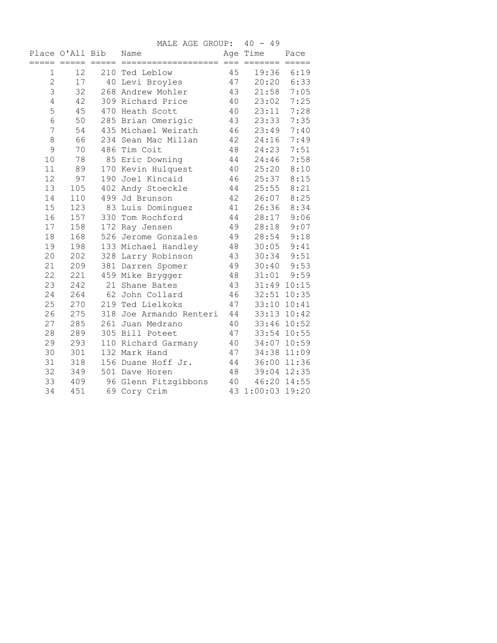|                |                 | MALE AGE GROUP: 40 - 49 |         |                         |             |
|----------------|-----------------|-------------------------|---------|-------------------------|-------------|
|                | Place O'All Bib | Name                    |         | Age Time                | Pace        |
|                | ===== =====     | ===== =========         | dee een | $=$ $=$ $=$ $=$ $=$ $=$ |             |
| 1              | 12              | 210 Ted Leblow          | 45      |                         | 19:36 6:19  |
| $\overline{2}$ | 17              | 40 Levi Broyles         | 47      |                         | 20:20 6:33  |
| 3              | 32              | 268 Andrew Mohler       | 43      | 21:58                   | 7:05        |
| $\overline{4}$ | 42              | 309 Richard Price       | 40      | 23:02                   | 7:25        |
| 5              | 45              | 470 Heath Scott         | 40      | 23:11                   | 7:28        |
| $\sqrt{6}$     | 50              | 285 Brian Omerigic      | 43      | 23:33                   | 7:35        |
| 7              | 54              | 435 Michael Weirath     | 46      | 23:49                   | 7:40        |
| 8              | 66              | 234 Sean Mac Millan     | 42      | 24:16                   | 7:49        |
| 9              | 70              | 486 Tim Coit            | 48      | 24:23                   | 7:51        |
| 10             | 78              | 85 Eric Downing         | 44      | 24:46                   | 7:58        |
| 11             | 89              | 170 Kevin Hulquest      | 40      | 25:20                   | 8:10        |
| 12             | 97              | 190 Joel Kincaid        | 46      | 25:37                   | 8:15        |
| 13             | 105             | 402 Andy Stoeckle       | 44      | 25:55                   | 8:21        |
| 14             | 110             | 499 Jd Brunson          | 42      | 26:07                   | 8:25        |
| 15             | 123             | 83 Luis Dominguez       | 41      | 26:36                   | 8:34        |
| 16             | 157             | 330 Tom Rochford        | 44      | 28:17                   | 9:06        |
| 17             | 158             | 172 Ray Jensen          | 49      | 28:18                   | 9:07        |
| 18             | 168             | 526 Jerome Gonzales     | 49      | 28:54                   | 9:18        |
| 19             | 198             | 133 Michael Handley     | 48      | 30:05                   | 9:41        |
| 20             | 202             | 328 Larry Robinson      | 43      | 30:34                   | 9:51        |
| 21             | 209             | 381 Darren Spomer       | 49      | 30:40                   | 9:53        |
| 22             | 221             | 459 Mike Brygger        | 48      | 31:01                   | 9:59        |
| 23             | 242             | 21 Shane Bates          | 43      |                         | 31:49 10:15 |
| 24             | 264             | 62 John Collard         | 46      |                         | 32:51 10:35 |
| 25             | 270             | 219 Ted Lielkoks        | 47      |                         | 33:10 10:41 |
| 26             | 275             | 318 Joe Armando Renteri | 44      |                         | 33:13 10:42 |
| 27             | 285             | 261 Juan Medrano        | 40      |                         | 33:46 10:52 |
| 28             | 289             | 305 Bill Poteet         | 47      |                         | 33:54 10:55 |
| 29             | 293             | 110 Richard Garmany     | 40      |                         | 34:07 10:59 |
| 30             | 301             | 132 Mark Hand           | 47      |                         | 34:38 11:09 |
| 31             | 318             | 156 Duane Hoff Jr.      | 44      |                         | 36:00 11:36 |
| 32             | 349             | 501 Dave Horen          | 48      |                         | 39:04 12:35 |
| 33             | 409             | 96 Glenn Fitzgibbons    | 40      |                         | 46:20 14:55 |
| 34             | 451             | 69 Cory Crim            |         | 43 1:00:03 19:20        |             |
|                |                 |                         |         |                         |             |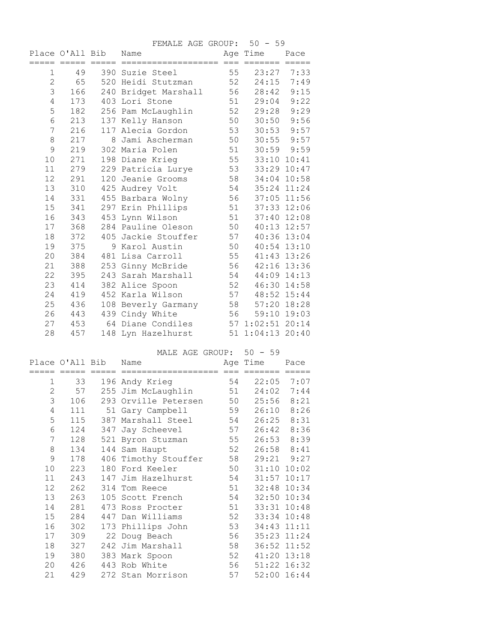|                |                 | FEMALE AGE GROUP: 50 - 59 |    |                  |                |
|----------------|-----------------|---------------------------|----|------------------|----------------|
|                | Place O'All Bib | Name                      |    | Age Time         | Pace           |
| 1              | 49              | 390 Suzie Steel           | 55 | 23:27            | 7:33           |
| $\overline{c}$ | 65              | 520 Heidi Stutzman        | 52 | 24:15            | 7:49           |
| 3              | 166             | 240 Bridget Marshall      | 56 | 28:42            | 9:15           |
| 4              | 173             | 403 Lori Stone            | 51 | 29:04            | 9:22           |
| 5              | 182             | 256 Pam McLaughlin        | 52 | 29:28            | 9:29           |
| 6              | 213             | 137 Kelly Hanson          | 50 | 30:50            | 9:56           |
| 7              | 216             | 117 Alecia Gordon         | 53 | 30:53            | 9:57           |
| $\,8\,$        | 217             | 8 Jami Ascherman          | 50 |                  | $30:55$ $9:57$ |
| 9              | 219             | 302 Maria Polen           | 51 |                  | $30:59$ $9:59$ |
| 10             | 271             | 198 Diane Krieg           | 55 |                  | 33:10 10:41    |
| 11             | 279             | 229 Patricia Lurye        | 53 |                  | 33:29 10:47    |
| 12             | 291             | 120 Jeanie Grooms         | 58 |                  | 34:04 10:58    |
| 13             | 310             | 425 Audrey Volt           | 54 |                  | 35:24 11:24    |
| 14             | 331             | 455 Barbara Wolny         | 56 |                  | 37:05 11:56    |
| 15             | 341             | 297 Erin Phillips         | 51 |                  | 37:33 12:06    |
| 16             | 343             | 453 Lynn Wilson           | 51 |                  | 37:40 12:08    |
| 17             | 368             | 284 Pauline Oleson        | 50 |                  | 40:13 12:57    |
| 18             | 372             | 405 Jackie Stouffer       | 57 |                  | 40:36 13:04    |
| 19             | 375             | 9 Karol Austin            | 50 |                  | 40:54 13:10    |
| 20             | 384             | 481 Lisa Carroll          | 55 |                  | 41:43 13:26    |
| 21             | 388             | 253 Ginny McBride         | 56 |                  | 42:16 13:36    |
| 22             | 395             | 243 Sarah Marshall        | 54 |                  | 44:09 14:13    |
| 23             | 414             | 382 Alice Spoon           | 52 |                  | 46:30 14:58    |
| 24             | 419             | 452 Karla Wilson          | 57 |                  | 48:52 15:44    |
| 25             | 436             | 108 Beverly Garmany       | 58 |                  | 57:20 18:28    |
| 26             | 443             | 439 Cindy White           | 56 |                  | 59:10 19:03    |
| 27             | 453             | 64 Diane Condiles         |    | 57 1:02:51 20:14 |                |
| 28             | 457             | 148 Lyn Hazelhurst        |    | 51 1:04:13 20:40 |                |

MALE AGE GROUP: 50 - 59

|    | Place O'All Bib |     | Name                 |    | Age Time    | Pace        |
|----|-----------------|-----|----------------------|----|-------------|-------------|
|    |                 |     | ==================== |    |             |             |
| 1  | 33              |     | 196 Andy Krieg       | 54 | 22:05       | 7:07        |
| 2  | 57              |     | 255 Jim McLaughlin   | 51 | 24:02       | 7:44        |
| 3  | 106             |     | 293 Orville Petersen | 50 | 25:56       | 8:21        |
| 4  | 111             |     | 51 Gary Campbell     | 59 | 26:10       | 8:26        |
| 5  | 115             | 387 | Marshall Steel       | 54 | 26:25       | 8:31        |
| 6  | 124             |     | 347 Jay Scheevel     | 57 | 26:42       | 8:36        |
| 7  | 128             |     | 521 Byron Stuzman    | 55 | 26:53       | 8:39        |
| 8  | 134             |     | 144 Sam Haupt        | 52 | 26:58       | 8:41        |
| 9  | 178             |     | 406 Timothy Stouffer | 58 |             | 29:21 9:27  |
| 10 | 223             |     | 180 Ford Keeler      | 50 |             | 31:10 10:02 |
| 11 | 243             |     | 147 Jim Hazelhurst   | 54 | 31:57 10:17 |             |
| 12 | 262             |     | 314 Tom Reece        | 51 | 32:48 10:34 |             |
| 13 | 263             |     | 105 Scott French     | 54 | 32:50 10:34 |             |
| 14 | 281             |     | 473 Ross Procter     | 51 | 33:31       | 10:48       |
| 15 | 284             |     | 447 Dan Williams     | 52 | 33:34 10:48 |             |
| 16 | 302             |     | 173 Phillips John    | 53 | 34:43 11:11 |             |
| 17 | 309             |     | 22 Doug Beach        | 56 | 35:23 11:24 |             |
| 18 | 327             |     | 242 Jim Marshall     | 58 |             | 36:52 11:52 |
| 19 | 380             |     | 383 Mark Spoon       | 52 |             | 41:20 13:18 |
| 20 | 426             |     | 443 Rob White        | 56 |             | 51:22 16:32 |
| 21 | 429             |     | 272 Stan Morrison    | 57 | 52:00 16:44 |             |